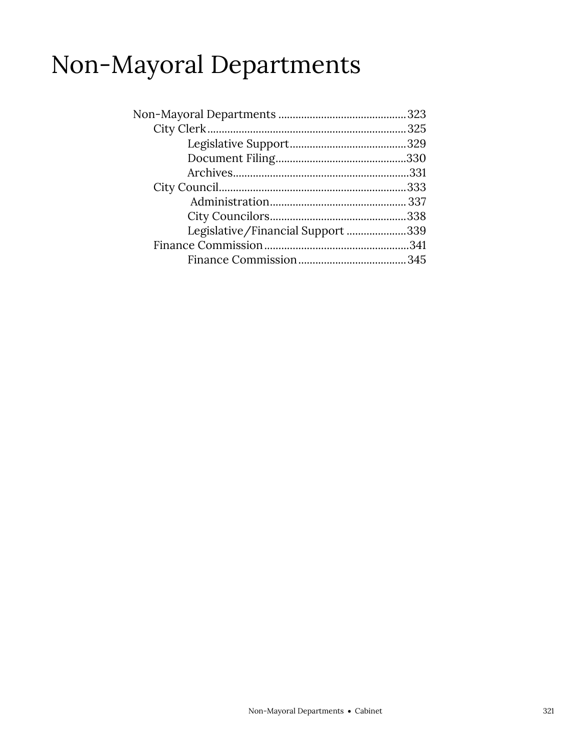# Non-Mayoral Departments

| Legislative/Financial Support 339 |
|-----------------------------------|
|                                   |
|                                   |
|                                   |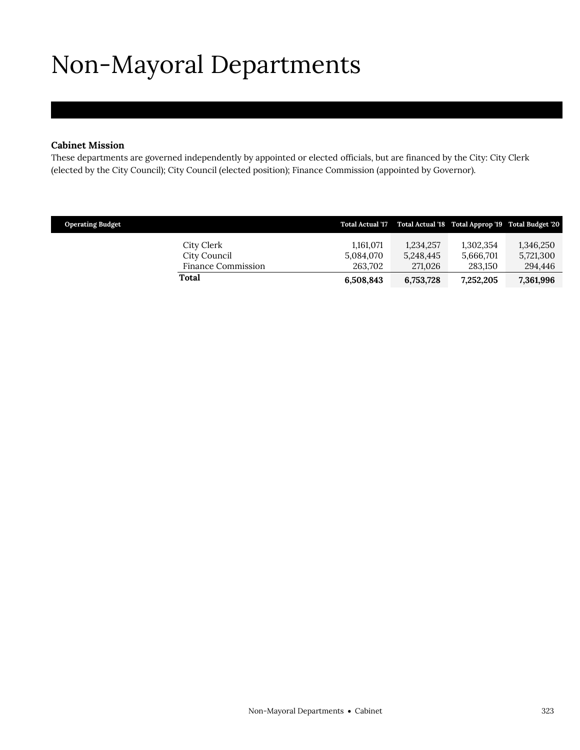# <span id="page-2-0"></span>Non-Mayoral Departments

#### **Cabinet Mission**

These departments are governed independently by appointed or elected officials, but are financed by the City: City Clerk (elected by the City Council); City Council (elected position); Finance Commission (appointed by Governor).

| <b>Operating Budget</b> |                                    |                      |                      |                      | Total Actual '17 Total Actual '18 Total Approp '19 Total Budget '20 |
|-------------------------|------------------------------------|----------------------|----------------------|----------------------|---------------------------------------------------------------------|
|                         | City Clerk                         | 1.161.071            | 1,234,257            | 1,302,354            | 1,346,250                                                           |
|                         | City Council<br>Finance Commission | 5,084,070<br>263.702 | 5,248,445<br>271.026 | 5.666.701<br>283.150 | 5,721,300<br>294,446                                                |
|                         | Total                              | 6,508,843            | 6,753,728            | 7,252,205            | 7,361,996                                                           |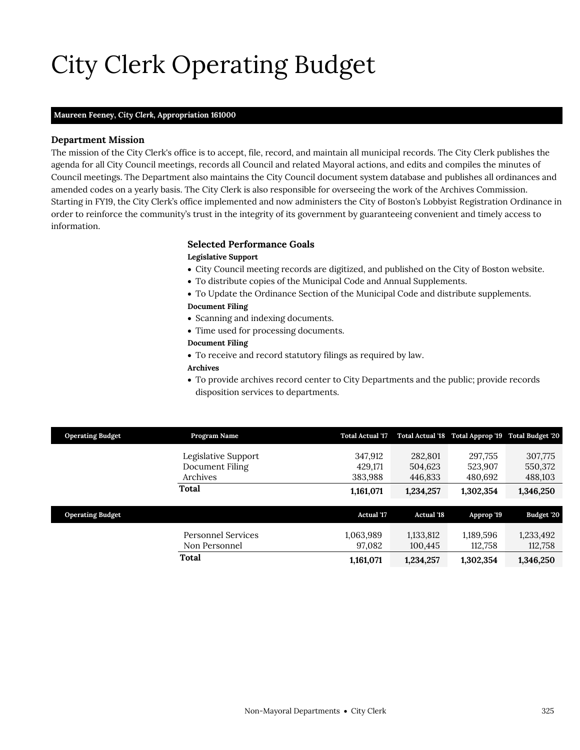# City Clerk Operating Budget

#### **Maureen Feeney,** *City Clerk,* **Appropriation 161000**

#### **Department Mission**

The mission of the City Clerk's office is to accept, file, record, and maintain all municipal records. The City Clerk publishes the agenda for all City Council meetings, records all Council and related Mayoral actions, and edits and compiles the minutes of Council meetings. The Department also maintains the City Council document system database and publishes all ordinances and amended codes on a yearly basis. The City Clerk is also responsible for overseeing the work of the Archives Commission. Starting in FY19, the City Clerk's office implemented and now administers the City of Boston's Lobbyist Registration Ordinance in order to reinforce the community's trust in the integrity of its government by guaranteeing convenient and timely access to information.

#### <span id="page-4-0"></span>**Selected Performance Goals**

#### **Legislative Support**

- City Council meeting records are digitized, and published on the City of Boston website.
- To distribute copies of the Municipal Code and Annual Supplements.
- To Update the Ordinance Section of the Municipal Code and distribute supplements. **Document Filing**
- Scanning and indexing documents.
- Time used for processing documents.

#### **Document Filing**

To receive and record statutory filings as required by law.

#### **Archives**

 To provide archives record center to City Departments and the public; provide records disposition services to departments.

| <b>Operating Budget</b> | Program Name              | <b>Total Actual '17</b> |                   | Total Actual '18 Total Approp '19 Total Budget '20 |            |
|-------------------------|---------------------------|-------------------------|-------------------|----------------------------------------------------|------------|
|                         |                           |                         |                   |                                                    |            |
|                         | Legislative Support       | 347,912                 | 282,801           | 297,755                                            | 307,775    |
|                         | Document Filing           | 429.171                 | 504,623           | 523,907                                            | 550,372    |
|                         | Archives                  | 383,988                 | 446,833           | 480,692                                            | 488,103    |
|                         | Total                     | 1,161,071               | 1,234,257         | 1,302,354                                          | 1,346,250  |
|                         |                           |                         |                   |                                                    |            |
|                         |                           |                         |                   |                                                    |            |
| <b>Operating Budget</b> |                           | <b>Actual</b> '17       | <b>Actual '18</b> | Approp '19                                         | Budget '20 |
|                         |                           |                         |                   |                                                    |            |
|                         | <b>Personnel Services</b> | 1,063,989               | 1,133,812         | 1,189,596                                          | 1,233,492  |
|                         | Non Personnel             | 97,082                  | 100,445           | 112,758                                            | 112,758    |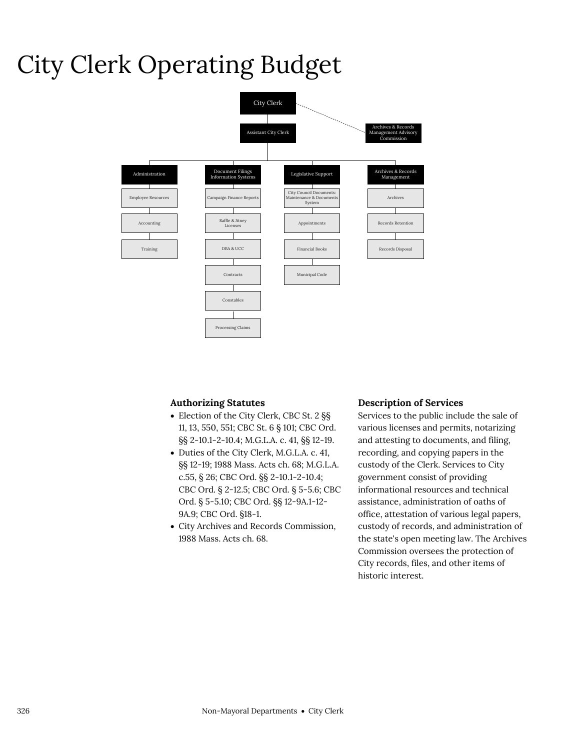# City Clerk Operating Budget



#### **Authorizing Statutes**

- Election of the City Clerk, CBC St. 2 §§ 11, 13, 550, 551; CBC St. 6 § 101; CBC Ord. §§ 2-10.1-2-10.4; M.G.L.A. c. 41, §§ 12-19.
- Duties of the City Clerk, M.G.L.A. c. 41, §§ 12-19; 1988 Mass. Acts ch. 68; M.G.L.A. c.55, § 26; CBC Ord. §§ 2-10.1-2-10.4; CBC Ord. § 2-12.5; CBC Ord. § 5-5.6; CBC Ord. § 5-5.10; CBC Ord. §§ 12-9A.1-12- 9A.9; CBC Ord. §18-1.
- City Archives and Records Commission, 1988 Mass. Acts ch. 68.

#### **Description of Services**

Services to the public include the sale of various licenses and permits, notarizing and attesting to documents, and filing, recording, and copying papers in the custody of the Clerk. Services to City government consist of providing informational resources and technical assistance, administration of oaths of office, attestation of various legal papers, custody of records, and administration of the state's open meeting law. The Archives Commission oversees the protection of City records, files, and other items of historic interest.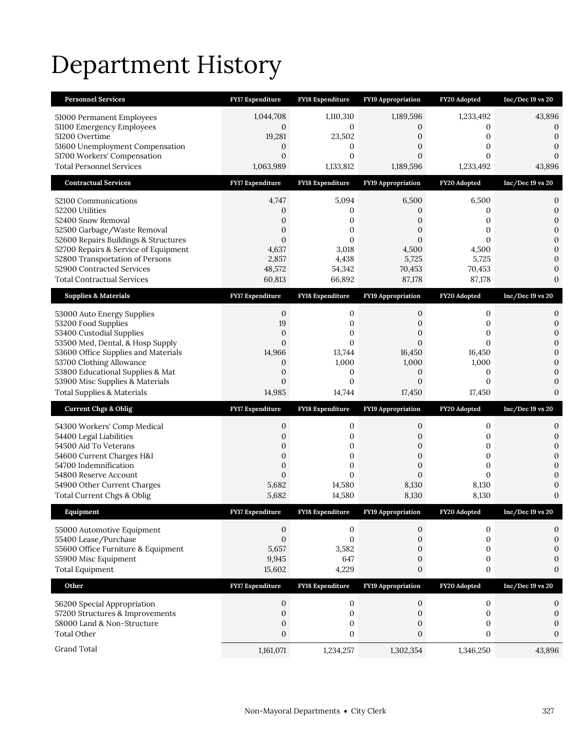# Department History

| <b>Personnel Services</b>                                                    | FY17 Expenditure                   | <b>FY18 Expenditure</b>       | <b>FY19 Appropriation</b>     | FY20 Adopted                  | $Inc/Dec 19$ vs $20$             |
|------------------------------------------------------------------------------|------------------------------------|-------------------------------|-------------------------------|-------------------------------|----------------------------------|
| 51000 Permanent Employees                                                    | 1,044,708                          | 1,110,310                     | 1,189,596                     | 1,233,492                     | 43,896                           |
| 51100 Emergency Employees                                                    | 0                                  | 0                             | 0                             | 0                             | 0                                |
| 51200 Overtime<br>51600 Unemployment Compensation                            | 19,281<br>$\mathbf{0}$             | 23,502<br>0                   | 0<br>0                        | 0<br>0                        | $\mathbf{0}$<br>0                |
| 51700 Workers' Compensation                                                  | $\mathbf{0}$                       | $\mathbf{0}$                  | $\mathbf{0}$                  | 0                             | $\overline{0}$                   |
| <b>Total Personnel Services</b>                                              | 1,063,989                          | 1,133,812                     | 1,189,596                     | 1,233,492                     | 43,896                           |
| <b>Contractual Services</b>                                                  | <b>FY17 Expenditure</b>            | FY18 Expenditure              | <b>FY19 Appropriation</b>     | FY20 Adopted                  | $Inc/Dec 19$ vs $20$             |
| 52100 Communications                                                         | 4,747                              | 5,094                         | 6,500                         | 6,500                         | 0                                |
| 52200 Utilities                                                              | 0                                  | 0                             | 0                             | 0                             | 0                                |
| 52400 Snow Removal                                                           | 0                                  | 0                             | 0                             | 0                             | $\overline{0}$                   |
| 52500 Garbage/Waste Removal                                                  | 0                                  | 0                             | $\overline{0}$                | 0                             | 0                                |
| 52600 Repairs Buildings & Structures<br>52700 Repairs & Service of Equipment | $\mathbf{0}$<br>4,637              | 0<br>3,018                    | $\Omega$<br>4,500             | $\Omega$<br>4,500             | $\overline{0}$<br>$\Omega$       |
| 52800 Transportation of Persons                                              | 2,857                              | 4,438                         | 5,725                         | 5,725                         | 0                                |
| 52900 Contracted Services                                                    | 48,572                             | 54,342                        | 70,453                        | 70,453                        | 0                                |
| <b>Total Contractual Services</b>                                            | 60,813                             | 66,892                        | 87,178                        | 87,178                        | $\overline{0}$                   |
| <b>Supplies &amp; Materials</b>                                              | FY17 Expenditure                   | FY18 Expenditure              | <b>FY19 Appropriation</b>     | FY20 Adopted                  | Inc/Dec 19 vs 20                 |
| 53000 Auto Energy Supplies                                                   | 0                                  | 0                             | 0                             | 0                             | 0                                |
| 53200 Food Supplies                                                          | 19                                 | 0                             | 0                             | 0                             | $\overline{0}$                   |
| 53400 Custodial Supplies                                                     | $\mathbf{0}$                       | $\mathbf{0}$                  | $\overline{0}$                | 0                             | $\overline{0}$                   |
| 53500 Med, Dental, & Hosp Supply<br>53600 Office Supplies and Materials      | $\mathbf{0}$<br>14,966             | $\mathbf{0}$<br>13,744        | $\overline{0}$<br>16,450      | $\overline{0}$<br>16,450      | $\overline{0}$<br>$\overline{0}$ |
| 53700 Clothing Allowance                                                     | $\mathbf{0}$                       | 1,000                         | 1,000                         | 1,000                         | $\Omega$                         |
| 53800 Educational Supplies & Mat                                             | $\boldsymbol{0}$                   | 0                             | $\mathbf{0}$                  | 0                             | 0                                |
|                                                                              |                                    |                               |                               |                               |                                  |
| 53900 Misc Supplies & Materials                                              | $\mathbf{0}$                       | $\mathbf{0}$                  | $\overline{0}$                | $\overline{0}$                | 0                                |
| <b>Total Supplies &amp; Materials</b>                                        | 14,985                             | 14,744                        | 17,450                        | 17,450                        | $\overline{0}$                   |
| <b>Current Chgs &amp; Oblig</b>                                              | <b>FY17 Expenditure</b>            | <b>FY18 Expenditure</b>       | <b>FY19 Appropriation</b>     | FY20 Adopted                  | $Inc/Dec 19$ vs $20$             |
| 54300 Workers' Comp Medical                                                  | 0                                  | 0                             | 0                             | 0                             | 0                                |
| 54400 Legal Liabilities                                                      | $\mathbf{0}$                       | 0                             | 0                             | 0                             | 0                                |
| 54500 Aid To Veterans                                                        | 0                                  | 0                             | 0                             | 0                             | 0                                |
| 54600 Current Charges H&I                                                    | $\mathbf{0}$                       | $\mathbf{0}$                  | $\overline{0}$                | $\overline{0}$                | $\overline{0}$                   |
| 54700 Indemnification<br>54800 Reserve Account                               | $\boldsymbol{0}$<br>$\overline{0}$ | 0<br>$\Omega$                 | 0<br>$\overline{0}$           | 0<br>$\overline{0}$           | $\overline{0}$<br>$\overline{0}$ |
| 54900 Other Current Charges                                                  | 5,682                              | 14,580                        | 8,130                         | 8,130                         | 0                                |
| Total Current Chgs & Oblig                                                   | 5,682                              | 14,580                        | 8,130                         | 8,130                         | $\Omega$                         |
| Equipment                                                                    | FY17 Expenditure                   | <b>FY18 Expenditure</b>       | <b>FY19 Appropriation</b>     | FY20 Adopted                  | Inc/Dec 19 vs 20                 |
| 55000 Automotive Equipment                                                   | 0                                  | 0                             | 0                             | 0                             | 0                                |
| 55400 Lease/Purchase                                                         | $\boldsymbol{0}$                   | $\mathbf{0}$                  | $\mathbf{0}$                  | 0                             | 0                                |
| 55600 Office Furniture & Equipment                                           | 5,657                              | 3,582                         | 0                             | 0                             | 0                                |
| 55900 Misc Equipment                                                         | 9,945                              | 647                           | $\mathbf{0}$                  | $\boldsymbol{0}$              | 0                                |
| <b>Total Equipment</b>                                                       | 15,602                             | 4,229                         | 0                             | 0                             | $\mathbf{0}$                     |
| Other                                                                        | FY17 Expenditure                   | FY18 Expenditure              | <b>FY19 Appropriation</b>     | FY20 Adopted                  | Inc/Dec 19 vs 20                 |
| 56200 Special Appropriation                                                  | 0                                  | 0                             | 0                             | 0                             | 0                                |
| 57200 Structures & Improvements                                              | 0                                  | $\boldsymbol{0}$              | 0                             | 0                             | $\boldsymbol{0}$                 |
| 58000 Land & Non-Structure                                                   | $\mathbf{0}$                       | 0                             | 0                             | 0                             | 0                                |
| <b>Total Other</b><br>Grand Total                                            | $\boldsymbol{0}$<br>1,161,071      | $\boldsymbol{0}$<br>1,234,257 | $\boldsymbol{0}$<br>1,302,354 | $\boldsymbol{0}$<br>1,346,250 | $\mathbf{0}$<br>43,896           |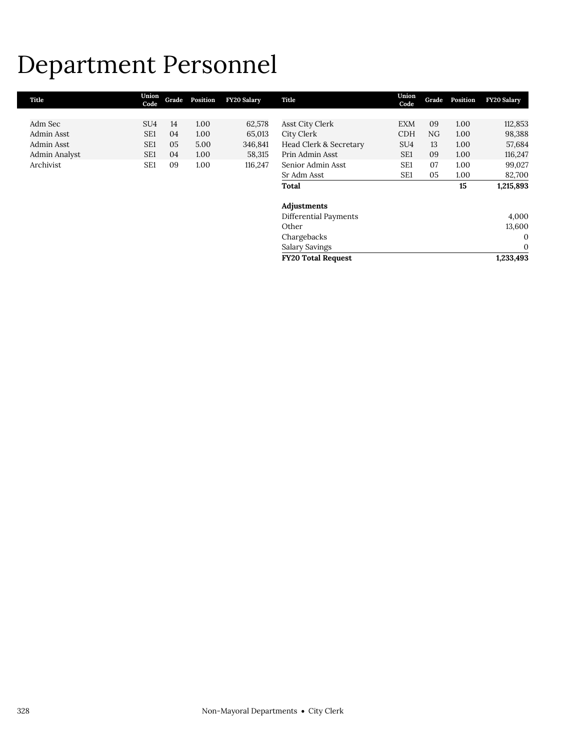## Department Personnel

| Title         | Union<br>Code   | Grade | Position | <b>FY20 Salary</b> | Title                     | Union<br>Code   | Grade | Position | <b>FY20 Salary</b> |
|---------------|-----------------|-------|----------|--------------------|---------------------------|-----------------|-------|----------|--------------------|
|               |                 |       |          |                    |                           |                 |       |          |                    |
| Adm Sec       | SU <sub>4</sub> | 14    | 1.00     | 62,578             | <b>Asst City Clerk</b>    | <b>EXM</b>      | 09    | 1.00     | 112,853            |
| Admin Asst    | SE <sub>1</sub> | 04    | 1.00     | 65,013             | City Clerk                | <b>CDH</b>      | NG    | 1.00     | 98,388             |
| Admin Asst    | SE <sub>1</sub> | 05    | 5.00     | 346,841            | Head Clerk & Secretary    | SU <sub>4</sub> | 13    | 1.00     | 57,684             |
| Admin Analyst | SE <sub>1</sub> | 04    | 1.00     | 58,315             | Prin Admin Asst           | SE <sub>1</sub> | 09    | 1.00     | 116,247            |
| Archivist     | SE <sub>1</sub> | 09    | 1.00     | 116,247            | Senior Admin Asst         | SE <sub>1</sub> | 07    | 1.00     | 99,027             |
|               |                 |       |          |                    | Sr Adm Asst               | SE <sub>1</sub> | 05    | 1.00     | 82,700             |
|               |                 |       |          |                    | <b>Total</b>              |                 |       | 15       | 1,215,893          |
|               |                 |       |          |                    |                           |                 |       |          |                    |
|               |                 |       |          |                    | Adjustments               |                 |       |          |                    |
|               |                 |       |          |                    | Differential Payments     |                 |       |          | 4,000              |
|               |                 |       |          |                    | Other                     |                 |       |          | 13,600             |
|               |                 |       |          |                    | Chargebacks               |                 |       |          | $\mathbf{0}$       |
|               |                 |       |          |                    | Salary Savings            |                 |       |          | $\mathbf{0}$       |
|               |                 |       |          |                    | <b>FY20 Total Request</b> |                 |       |          | 1,233,493          |
|               |                 |       |          |                    |                           |                 |       |          |                    |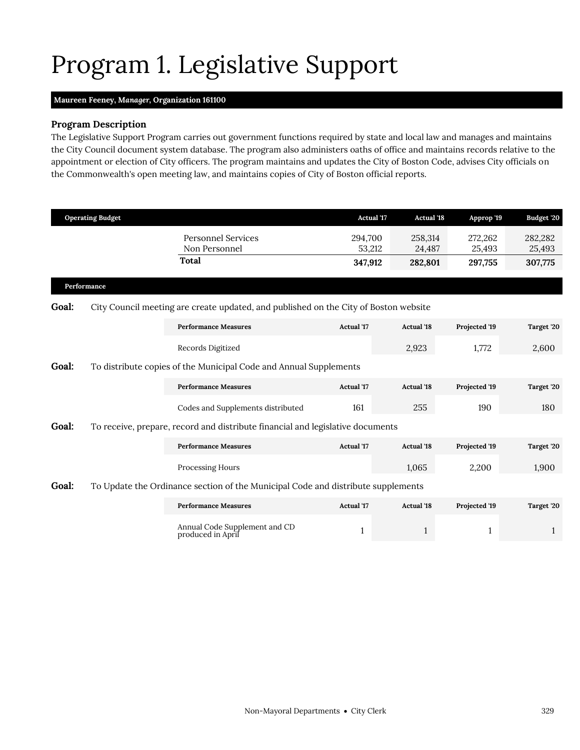# <span id="page-8-0"></span>Program 1. Legislative Support

### **Maureen Feeney,** *Manager,* **Organization 161100**

### **Program Description**

The Legislative Support Program carries out government functions required by state and local law and manages and maintains the City Council document system database. The program also administers oaths of office and maintains records relative to the appointment or election of City officers. The program maintains and updates the City of Boston Code, advises City officials on the Commonwealth's open meeting law, and maintains copies of City of Boston official reports.

|             | <b>Operating Budget</b> |                                                                                      | <b>Actual '17</b> | <b>Actual '18</b> | Approp '19        | Budget '20        |
|-------------|-------------------------|--------------------------------------------------------------------------------------|-------------------|-------------------|-------------------|-------------------|
|             |                         | <b>Personnel Services</b><br>Non Personnel                                           | 294,700<br>53,212 | 258,314<br>24,487 | 272,262<br>25,493 | 282,282<br>25,493 |
|             |                         | Total                                                                                | 347,912           | 282,801           | 297,755           | 307,775           |
| Performance |                         |                                                                                      |                   |                   |                   |                   |
| Goal:       |                         | City Council meeting are create updated, and published on the City of Boston website |                   |                   |                   |                   |
|             |                         | <b>Performance Measures</b>                                                          | <b>Actual '17</b> | <b>Actual '18</b> | Projected '19     | Target '20        |
|             |                         | Records Digitized                                                                    |                   | 2,923             | 1,772             | 2,600             |
| Goal:       |                         | To distribute copies of the Municipal Code and Annual Supplements                    |                   |                   |                   |                   |
|             |                         | <b>Performance Measures</b>                                                          | <b>Actual '17</b> | <b>Actual '18</b> | Projected '19     | Target '20        |
|             |                         | Codes and Supplements distributed                                                    | 161               | 255               | 190               | 180               |
| Goal:       |                         | To receive, prepare, record and distribute financial and legislative documents       |                   |                   |                   |                   |
|             |                         | <b>Performance Measures</b>                                                          | <b>Actual</b> '17 | <b>Actual '18</b> | Projected '19     | Target '20        |
|             |                         | Processing Hours                                                                     |                   | 1,065             | 2,200             | 1,900             |
| Goal:       |                         | To Update the Ordinance section of the Municipal Code and distribute supplements     |                   |                   |                   |                   |
|             |                         | <b>Performance Measures</b>                                                          | <b>Actual</b> '17 | <b>Actual '18</b> | Projected '19     | Target '20        |

| Annual Code Supplement and CD<br>produced in April |
|----------------------------------------------------|
|----------------------------------------------------|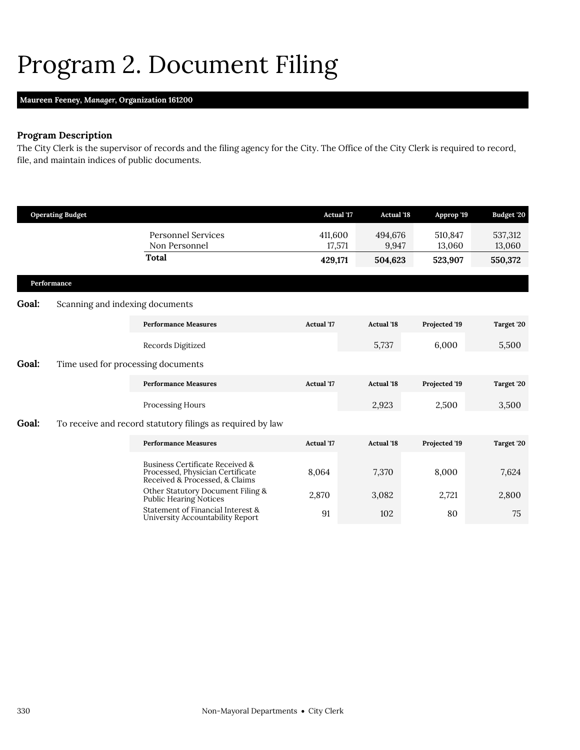## <span id="page-9-0"></span>Program 2. Document Filing

### **Maureen Feeney,** *Manager,* **Organization 161200**

### **Program Description**

The City Clerk is the supervisor of records and the filing agency for the City. The Office of the City Clerk is required to record, file, and maintain indices of public documents.

|       | <b>Operating Budget</b>            |                                                                                                       | <b>Actual</b> '17 | <b>Actual</b> '18 | Approp '19        | Budget '20        |
|-------|------------------------------------|-------------------------------------------------------------------------------------------------------|-------------------|-------------------|-------------------|-------------------|
|       |                                    | <b>Personnel Services</b><br>Non Personnel                                                            | 411,600<br>17,571 | 494,676<br>9,947  | 510,847<br>13,060 | 537,312<br>13,060 |
|       |                                    | <b>Total</b>                                                                                          | 429,171           | 504,623           | 523,907           | 550,372           |
|       | Performance                        |                                                                                                       |                   |                   |                   |                   |
| Goal: | Scanning and indexing documents    |                                                                                                       |                   |                   |                   |                   |
|       |                                    | <b>Performance Measures</b>                                                                           | <b>Actual</b> '17 | <b>Actual</b> '18 | Projected '19     | Target '20        |
|       |                                    | Records Digitized                                                                                     |                   | 5,737             | 6,000             | 5,500             |
| Goal: | Time used for processing documents |                                                                                                       |                   |                   |                   |                   |
|       |                                    | <b>Performance Measures</b>                                                                           | Actual '17        | <b>Actual '18</b> | Projected '19     | Target '20        |
|       |                                    | Processing Hours                                                                                      |                   | 2,923             | 2,500             | 3,500             |
| Goal: |                                    | To receive and record statutory filings as required by law                                            |                   |                   |                   |                   |
|       |                                    | <b>Performance Measures</b>                                                                           | <b>Actual</b> '17 | <b>Actual '18</b> | Projected '19     | Target '20        |
|       |                                    | Business Certificate Received &<br>Processed, Physician Certificate<br>Received & Processed, & Claims | 8,064             | 7,370             | 8,000             | 7,624             |
|       |                                    | Other Statutory Document Filing &<br>Public Hearing Notices                                           | 2,870             | 3,082             | 2,721             | 2,800             |
|       |                                    | Statement of Financial Interest &<br>University Accountability Report                                 | 91                | 102               | 80                | 75                |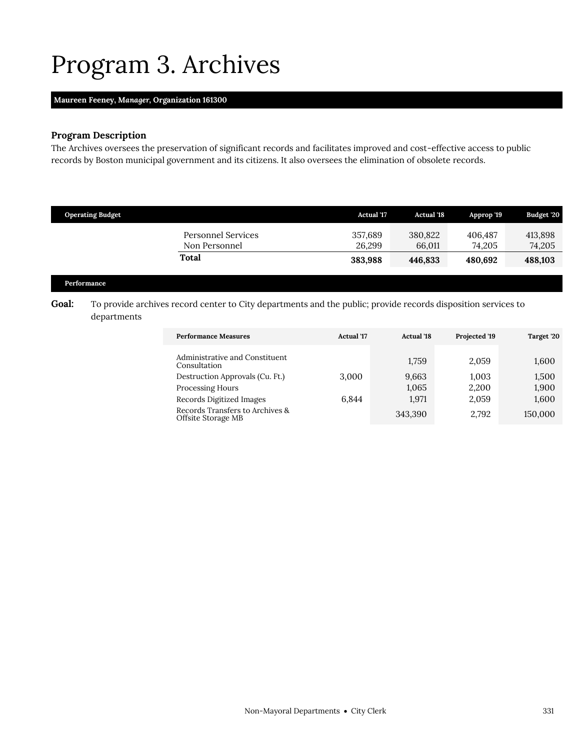## <span id="page-10-0"></span>Program 3. Archives

#### **Maureen Feeney,** *Manager,* **Organization 161300**

### **Program Description**

The Archives oversees the preservation of significant records and facilitates improved and cost-effective access to public records by Boston municipal government and its citizens. It also oversees the elimination of obsolete records.

| <b>Operating Budget</b>                    | <b>Actual</b> '17 | <b>Actual</b> '18 | Approp '19        | <b>Budget '20</b> |
|--------------------------------------------|-------------------|-------------------|-------------------|-------------------|
| <b>Personnel Services</b><br>Non Personnel | 357,689<br>26.299 | 380.822<br>66.011 | 406.487<br>74.205 | 413,898<br>74,205 |
| Total                                      | 383,988           | 446.833           | 480.692           | 488,103           |

#### **Performance**

### Goal: To provide archives record center to City departments and the public; provide records disposition services to departments

| <b>Performance Measures</b>                                                       | <b>Actual</b> '17 | <b>Actual</b> '18 | Projected '19  | Target 20      |
|-----------------------------------------------------------------------------------|-------------------|-------------------|----------------|----------------|
| Administrative and Constituent<br>Consultation<br>Destruction Approvals (Cu. Ft.) | 3.000             | 1.759<br>9,663    | 2.059<br>1,003 | 1,600<br>1,500 |
| <b>Processing Hours</b><br>Records Digitized Images                               | 6.844             | 1,065<br>1.971    | 2,200<br>2,059 | 1,900<br>1,600 |
| Records Transfers to Archives &<br>Offsite Storage MB                             |                   | 343,390           | 2.792          | 150,000        |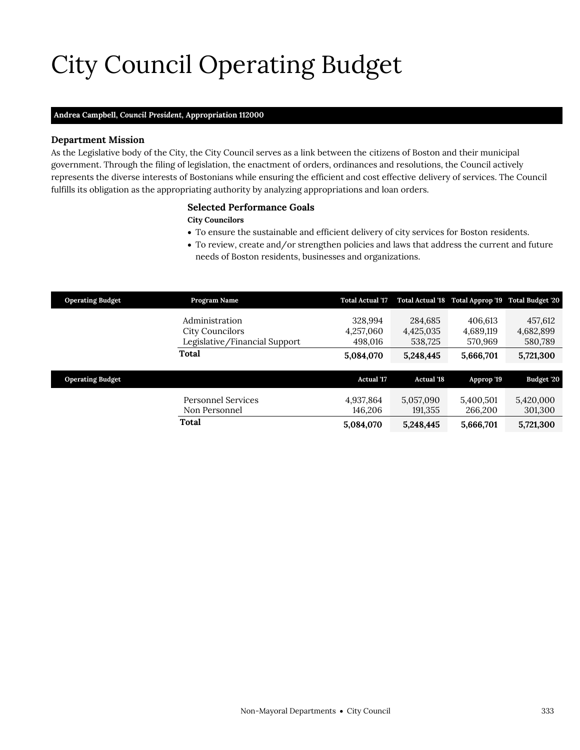# City Council Operating Budget

### **Andrea Campbell,** *Council President,* **Appropriation 112000**

#### **Department Mission**

As the Legislative body of the City, the City Council serves as a link between the citizens of Boston and their municipal government. Through the filing of legislation, the enactment of orders, ordinances and resolutions, the Council actively represents the diverse interests of Bostonians while ensuring the efficient and cost effective delivery of services. The Council fulfills its obligation as the appropriating authority by analyzing appropriations and loan orders.

#### <span id="page-12-0"></span>**Selected Performance Goals**

#### **City Councilors**

- To ensure the sustainable and efficient delivery of city services for Boston residents.
- To review, create and/or strengthen policies and laws that address the current and future needs of Boston residents, businesses and organizations.

| <b>Operating Budget</b> | Program Name                  | <b>Total Actual '17</b> |                   | Total Actual '18 Total Approp '19 Total Budget '20 |            |
|-------------------------|-------------------------------|-------------------------|-------------------|----------------------------------------------------|------------|
|                         | Administration                | 328,994                 | 284,685           | 406.613                                            | 457,612    |
|                         | City Councilors               | 4,257,060               | 4,425,035         | 4,689,119                                          | 4,682,899  |
|                         | Legislative/Financial Support | 498.016                 | 538,725           | 570,969                                            | 580,789    |
|                         | Total                         | 5,084,070               | 5,248,445         | 5,666,701                                          | 5,721,300  |
|                         |                               |                         |                   |                                                    |            |
| <b>Operating Budget</b> |                               | <b>Actual '17</b>       | <b>Actual '18</b> | Approp '19                                         | Budget '20 |
|                         | Personnel Services            | 4,937,864               | 5,057,090         | 5,400,501                                          | 5,420,000  |
|                         | Non Personnel                 | 146,206                 | 191,355           | 266,200                                            | 301,300    |
|                         | Total                         | 5,084,070               | 5,248,445         | 5,666,701                                          | 5,721,300  |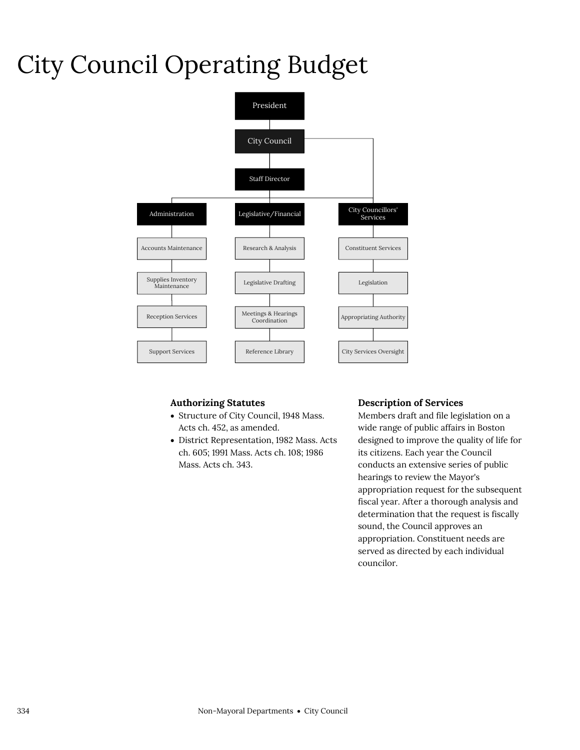# City Council Operating Budget



### **Authorizing Statutes**

- Structure of City Council, 1948 Mass. Acts ch. 452, as amended.
- District Representation, 1982 Mass. Acts ch. 605; 1991 Mass. Acts ch. 108; 1986 Mass. Acts ch. 343.

#### **Description of Services**

Members draft and file legislation on a wide range of public affairs in Boston designed to improve the quality of life for its citizens. Each year the Council conducts an extensive series of public hearings to review the Mayor's appropriation request for the subsequent fiscal year. After a thorough analysis and determination that the request is fiscally sound, the Council approves an appropriation. Constituent needs are served as directed by each individual councilor.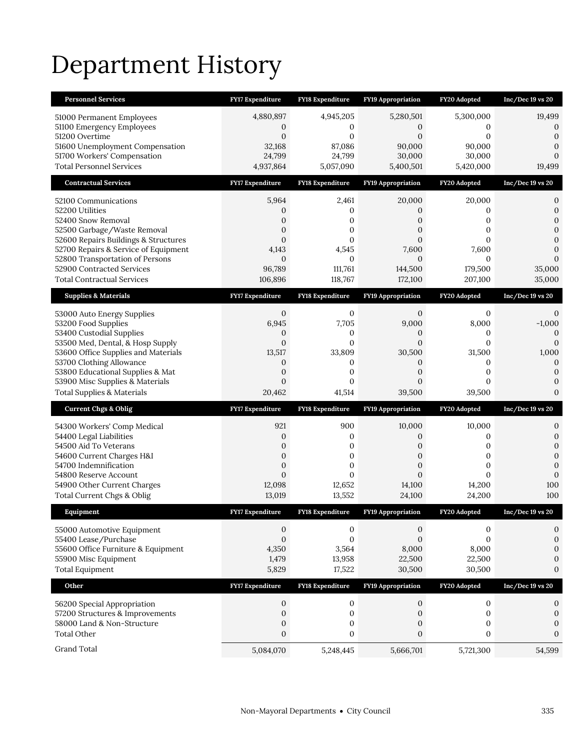# Department History

| <b>Personnel Services</b>                                                    | FY17 Expenditure         | <b>FY18 Expenditure</b>  | <b>FY19 Appropriation</b> | FY20 Adopted           | $Inc/Dec$ 19 vs 20           |
|------------------------------------------------------------------------------|--------------------------|--------------------------|---------------------------|------------------------|------------------------------|
| 51000 Permanent Employees                                                    | 4,880,897                | 4,945,205                | 5,280,501                 | 5,300,000              | 19,499                       |
| 51100 Emergency Employees                                                    | 0                        | 0                        | 0                         | 0                      | 0                            |
| 51200 Overtime                                                               | $\mathbf{0}$             | 0                        | $\mathbf{0}$              | $\mathbf{0}$           | $\mathbf{0}$                 |
| 51600 Unemployment Compensation<br>51700 Workers' Compensation               | 32,168<br>24,799         | 87,086<br>24,799         | 90,000<br>30,000          | 90,000<br>30,000       | $\mathbf{0}$<br>$\mathbf{0}$ |
| <b>Total Personnel Services</b>                                              | 4,937,864                | 5,057,090                | 5,400,501                 | 5,420,000              | 19,499                       |
| <b>Contractual Services</b>                                                  | <b>FY17 Expenditure</b>  | <b>FY18 Expenditure</b>  | <b>FY19 Appropriation</b> | FY20 Adopted           | $Inc/Dec 19$ vs $20$         |
| 52100 Communications                                                         | 5,964                    | 2,461                    | 20,000                    | 20,000                 | 0                            |
| 52200 Utilities                                                              | 0                        | 0                        | 0                         | 0                      | $\boldsymbol{0}$             |
| 52400 Snow Removal                                                           | 0                        | 0                        | 0                         | 0                      | $\mathbf{0}$                 |
| 52500 Garbage/Waste Removal                                                  | $\overline{0}$           | 0                        | 0                         | $\mathbf{0}$           | $\mathbf{0}$                 |
| 52600 Repairs Buildings & Structures<br>52700 Repairs & Service of Equipment | $\mathbf{0}$<br>4,143    | 0<br>4,545               | $\overline{0}$<br>7,600   | $\Omega$<br>7,600      | $\mathbf{0}$<br>$\mathbf{0}$ |
| 52800 Transportation of Persons                                              | $\mathbf{0}$             | $\mathbf{0}$             | $\theta$                  | $\mathbf{0}$           | $\Omega$                     |
| 52900 Contracted Services                                                    | 96,789                   | 111,761                  | 144,500                   | 179,500                | 35,000                       |
| <b>Total Contractual Services</b>                                            | 106,896                  | 118,767                  | 172,100                   | 207,100                | 35,000                       |
| <b>Supplies &amp; Materials</b>                                              | <b>FY17 Expenditure</b>  | FY18 Expenditure         | <b>FY19 Appropriation</b> | FY20 Adopted           | $Inc/Dec 19$ vs $20$         |
| 53000 Auto Energy Supplies                                                   | 0                        | 0                        | 0                         | 0                      | 0                            |
| 53200 Food Supplies                                                          | 6,945                    | 7,705                    | 9,000                     | 8,000                  | $-1,000$                     |
| 53400 Custodial Supplies                                                     | 0                        | 0                        | 0                         | 0                      | $\Omega$                     |
| 53500 Med, Dental, & Hosp Supply<br>53600 Office Supplies and Materials      | $\overline{0}$<br>13,517 | $\overline{0}$<br>33,809 | $\overline{0}$<br>30,500  | $\mathbf{0}$<br>31,500 | $\mathbf{0}$<br>1,000        |
| 53700 Clothing Allowance                                                     | 0                        | 0                        | 0                         | 0                      | $\mathbf{0}$                 |
| 53800 Educational Supplies & Mat                                             | $\boldsymbol{0}$         | $\boldsymbol{0}$         | 0                         | $\mathbf{0}$           | $\mathbf{0}$                 |
|                                                                              |                          |                          |                           |                        |                              |
| 53900 Misc Supplies & Materials                                              | $\overline{0}$           | 0                        | $\overline{0}$            | $\mathbf{0}$           | $\mathbf{0}$                 |
| <b>Total Supplies &amp; Materials</b>                                        | 20,462                   | 41,514                   | 39,500                    | 39,500                 | $\mathbf{0}$                 |
| <b>Current Chgs &amp; Oblig</b>                                              | <b>FY17 Expenditure</b>  | <b>FY18 Expenditure</b>  | <b>FY19 Appropriation</b> | FY20 Adopted           | Inc/Dec 19 vs 20             |
| 54300 Workers' Comp Medical                                                  | 921                      | 900                      | 10,000                    | 10,000                 | 0                            |
| 54400 Legal Liabilities                                                      | $\mathbf{0}$             | 0                        | 0                         | 0                      | $\boldsymbol{0}$             |
| 54500 Aid To Veterans                                                        | 0                        | $\boldsymbol{0}$         | 0                         | $\mathbf{0}$           | $\mathbf{0}$                 |
| 54600 Current Charges H&I                                                    | $\overline{0}$           | $\mathbf{0}$             | $\overline{0}$            | $\mathbf{0}$           | $\mathbf{0}$                 |
| 54700 Indemnification                                                        | 0                        | $\boldsymbol{0}$         | 0                         | 0<br>$\Omega$          | $\overline{0}$               |
| 54800 Reserve Account<br>54900 Other Current Charges                         | $\overline{0}$<br>12,098 | $\overline{0}$<br>12,652 | $\overline{0}$<br>14,100  | 14,200                 | $\mathbf{0}$<br>100          |
| Total Current Chgs & Oblig                                                   | 13,019                   | 13,552                   | 24,100                    | 24,200                 | 100                          |
| Equipment                                                                    | <b>FY17 Expenditure</b>  | <b>FY18 Expenditure</b>  | FY19 Appropriation        | FY20 Adopted           | $Inc/Dec 19$ vs $20$         |
|                                                                              | 0                        | 0                        | $\boldsymbol{0}$          | 0                      | 0                            |
| 55000 Automotive Equipment<br>55400 Lease/Purchase                           | $\boldsymbol{0}$         | $\boldsymbol{0}$         | $\overline{0}$            | $\mathbf{0}$           | $\boldsymbol{0}$             |
| 55600 Office Furniture & Equipment                                           | 4,350                    | 3,564                    | 8,000                     | 8,000                  | $\mathbf{0}$                 |
| 55900 Misc Equipment                                                         | 1,479                    | 13,958                   | 22,500                    | 22,500                 | $\boldsymbol{0}$             |
| <b>Total Equipment</b>                                                       | 5,829                    | 17,522                   | 30,500                    | 30,500                 | $\mathbf{0}$                 |
| Other                                                                        | FY17 Expenditure         | FY18 Expenditure         | FY19 Appropriation        | <b>FY20 Adopted</b>    | $Inc/Dec 19$ vs $20$         |
| 56200 Special Appropriation                                                  | 0                        | 0                        | $\mathbf{0}$              | $\boldsymbol{0}$       | 0                            |
| 57200 Structures & Improvements                                              | $\boldsymbol{0}$         | $\boldsymbol{0}$         | $\mathbf{0}$              | $\boldsymbol{0}$       | $\boldsymbol{0}$             |
| 58000 Land & Non-Structure                                                   | $\boldsymbol{0}$         | $\boldsymbol{0}$         | 0                         | 0                      | $\boldsymbol{0}$             |
| <b>Total Other</b>                                                           | $\boldsymbol{0}$         | 0                        | $\boldsymbol{0}$          | $\boldsymbol{0}$       | $\boldsymbol{0}$             |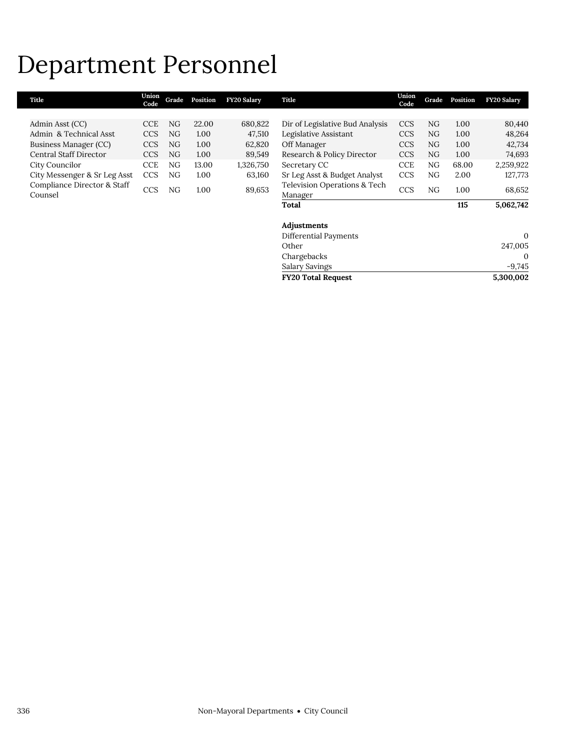## Department Personnel

| Title                                  | Union<br>Code | Grade | Position | <b>FY20 Salary</b> | Title                                   | Union<br>Code | Grade | Position | <b>FY20 Salary</b> |
|----------------------------------------|---------------|-------|----------|--------------------|-----------------------------------------|---------------|-------|----------|--------------------|
|                                        |               |       |          |                    |                                         |               |       |          |                    |
| Admin Asst (CC)                        | <b>CCE</b>    | NG    | 22.00    | 680,822            | Dir of Legislative Bud Analysis         | <b>CCS</b>    | NG    | 1.00     | 80,440             |
| Admin & Technical Asst                 | <b>CCS</b>    | NG    | 1.00     | 47,510             | Legislative Assistant                   | <b>CCS</b>    | NG    | 1.00     | 48,264             |
| Business Manager (CC)                  | <b>CCS</b>    | NG    | 1.00     | 62,820             | Off Manager                             | <b>CCS</b>    | NG    | 1.00     | 42,734             |
| Central Staff Director                 | <b>CCS</b>    | NG    | 1.00     | 89,549             | Research & Policy Director              | <b>CCS</b>    | NG    | 1.00     | 74,693             |
| City Councilor                         | <b>CCE</b>    | NG    | 13.00    | 1,326,750          | Secretary CC                            | <b>CCE</b>    | NG    | 68.00    | 2,259,922          |
| City Messenger & Sr Leg Asst           | <b>CCS</b>    | NG    | 1.00     | 63,160             | Sr Leg Asst & Budget Analyst            | <b>CCS</b>    | NG    | 2.00     | 127,773            |
| Compliance Director & Staff<br>Counsel | <b>CCS</b>    | NG    | 1.00     | 89,653             | Television Operations & Tech<br>Manager | <b>CCS</b>    | NG    | 1.00     | 68,652             |
|                                        |               |       |          |                    | Total                                   |               |       | 115      | 5,062,742          |
|                                        |               |       |          |                    | Adjustments                             |               |       |          |                    |
|                                        |               |       |          |                    | Differential Payments                   |               |       |          | $\Omega$           |
|                                        |               |       |          |                    | Other                                   |               |       |          | 247,005            |
|                                        |               |       |          |                    | Chargebacks                             |               |       |          | $\Omega$           |
|                                        |               |       |          |                    | Salary Savings                          |               |       |          | $-9,745$           |
|                                        |               |       |          |                    | <b>FY20 Total Request</b>               |               |       |          | 5,300,002          |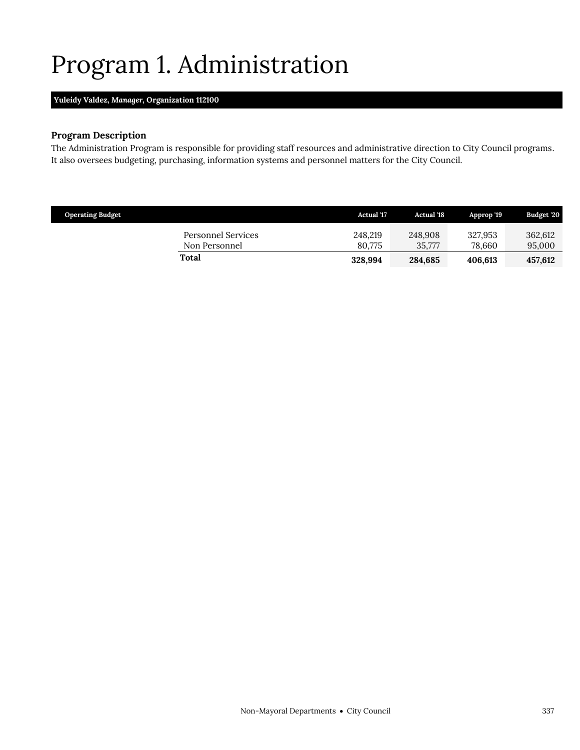# <span id="page-16-0"></span>Program 1. Administration

### **Yuleidy Valdez,** *Manager,* **Organization 112100**

### **Program Description**

The Administration Program is responsible for providing staff resources and administrative direction to City Council programs. It also oversees budgeting, purchasing, information systems and personnel matters for the City Council.

| <b>Operating Budget</b>             | <b>Actual</b> '17 | <b>Actual</b> '18 | Approp '19        | Budget '20        |
|-------------------------------------|-------------------|-------------------|-------------------|-------------------|
| Personnel Services<br>Non Personnel | 248,219<br>80.775 | 248,908<br>35.777 | 327.953<br>78.660 | 362,612<br>95,000 |
| Total                               | 328,994           | 284,685           | 406.613           | 457.612           |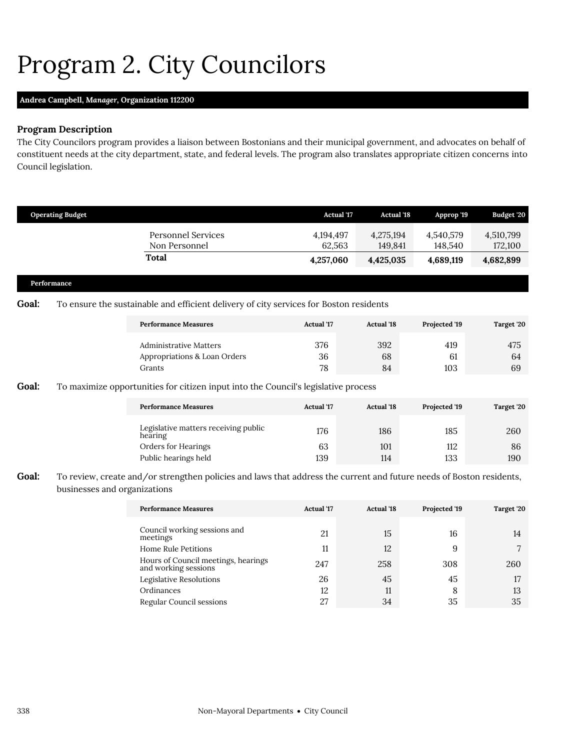## <span id="page-17-0"></span>Program 2. City Councilors

### **Andrea Campbell,** *Manager,* **Organization 112200**

#### **Program Description**

The City Councilors program provides a liaison between Bostonians and their municipal government, and advocates on behalf of constituent needs at the city department, state, and federal levels. The program also translates appropriate citizen concerns into Council legislation.

|       | <b>Operating Budget</b>      |                                                                                                                      | <b>Actual '17</b>   | <b>Actual '18</b>    | Approp '19           | Budget '20           |
|-------|------------------------------|----------------------------------------------------------------------------------------------------------------------|---------------------|----------------------|----------------------|----------------------|
|       |                              | <b>Personnel Services</b><br>Non Personnel                                                                           | 4,194,497<br>62,563 | 4,275,194<br>149,841 | 4,540,579<br>148,540 | 4,510,799<br>172,100 |
|       |                              | <b>Total</b>                                                                                                         | 4,257,060           | 4,425,035            | 4,689,119            | 4,682,899            |
|       | Performance                  |                                                                                                                      |                     |                      |                      |                      |
| Goal: |                              | To ensure the sustainable and efficient delivery of city services for Boston residents                               |                     |                      |                      |                      |
|       |                              | <b>Performance Measures</b>                                                                                          | <b>Actual</b> '17   | <b>Actual</b> '18    | Projected '19        | Target '20           |
|       |                              | <b>Administrative Matters</b><br>Appropriations & Loan Orders<br>Grants                                              | 376<br>36<br>78     | 392<br>68<br>84      | 419<br>61<br>103     | 475<br>64<br>69      |
| Goal: |                              | To maximize opportunities for citizen input into the Council's legislative process                                   |                     |                      |                      |                      |
|       |                              | <b>Performance Measures</b>                                                                                          | <b>Actual</b> '17   | <b>Actual '18</b>    | Projected '19        | Target '20           |
|       |                              | Legislative matters receiving public<br>hearing                                                                      | 176                 | 186                  | 185                  | 260                  |
|       |                              | Orders for Hearings<br>Public hearings held                                                                          | 63<br>139           | 101<br>114           | 112<br>133           | 86<br>190            |
| Goal: | businesses and organizations | To review, create and/or strengthen policies and laws that address the current and future needs of Boston residents, |                     |                      |                      |                      |
|       |                              | <b>Performance Measures</b>                                                                                          | Actual '17          | <b>Actual '18</b>    | Projected '19        | Target '20           |
|       |                              | Council working sessions and<br>meetings                                                                             | 21                  | 15                   | 16                   | 14                   |

| Council working sessions and<br>meetings                    | 21  | 15  | 16  | 14  |
|-------------------------------------------------------------|-----|-----|-----|-----|
| Home Rule Petitions                                         | 11  | 12  | 9   |     |
| Hours of Council meetings, hearings<br>and working sessions | 247 | 258 | 308 | 260 |
| Legislative Resolutions                                     | 26  | 45  | 45  |     |
| Ordinances                                                  | 12  | 11  | 8   | 13  |
| Regular Council sessions                                    | 27  | 34  | 35  | 35  |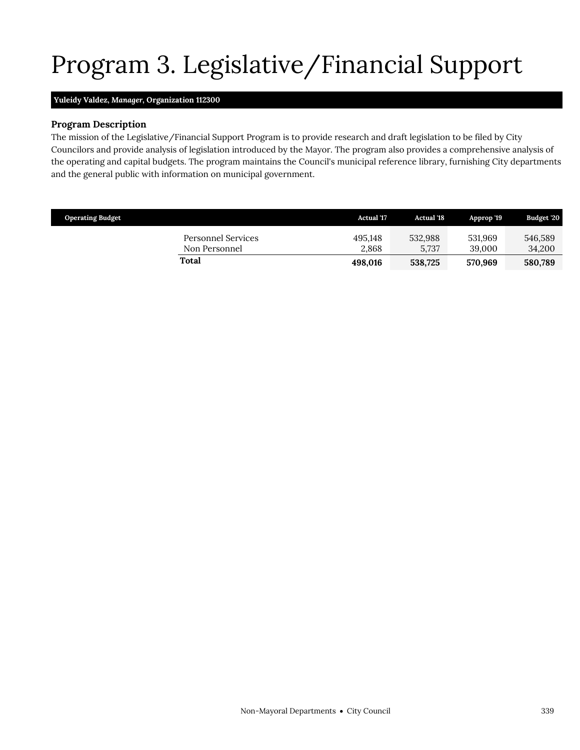# Program 3. Legislative/Financial Support

### <span id="page-18-0"></span>**Yuleidy Valdez,** *Manager,* **Organization 112300**

#### **Program Description**

The mission of the Legislative/Financial Support Program is to provide research and draft legislation to be filed by City Councilors and provide analysis of legislation introduced by the Mayor. The program also provides a comprehensive analysis of the operating and capital budgets. The program maintains the Council's municipal reference library, furnishing City departments and the general public with information on municipal government.

| <b>Operating Budget</b>             | <b>Actual</b> '17 | <b>Actual</b> '18 | Approp '19        | <b>Budget '20</b> |
|-------------------------------------|-------------------|-------------------|-------------------|-------------------|
| Personnel Services<br>Non Personnel | 495.148<br>2.868  | 532.988<br>5.737  | 531.969<br>39,000 | 546,589<br>34,200 |
| Total                               | 498.016           | 538,725           | 570.969           | 580,789           |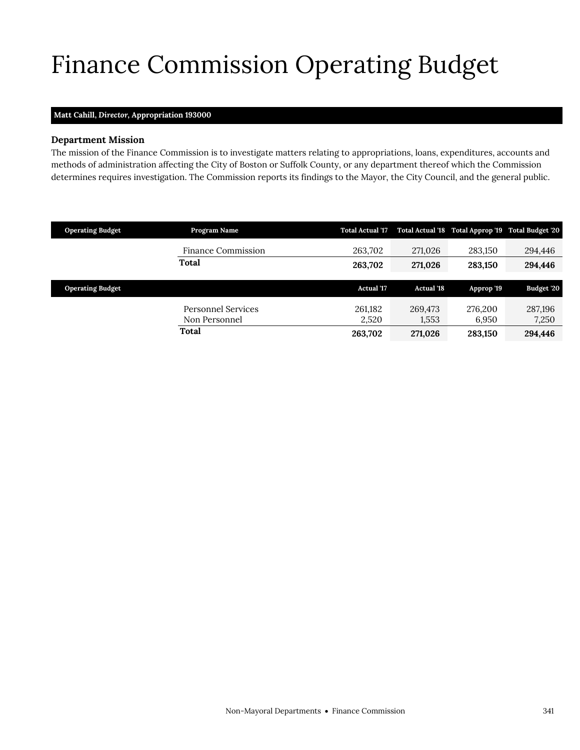# <span id="page-20-0"></span>Finance Commission Operating Budget

### **Matt Cahill,** *Director,* **Appropriation 193000**

#### **Department Mission**

The mission of the Finance Commission is to investigate matters relating to appropriations, loans, expenditures, accounts and methods of administration affecting the City of Boston or Suffolk County, or any department thereof which the Commission determines requires investigation. The Commission reports its findings to the Mayor, the City Council, and the general public.

| <b>Operating Budget</b> | Program Name                        | <b>Total Actual '17</b> |                   | Total Actual '18 Total Approp '19 Total Budget '20 |                  |
|-------------------------|-------------------------------------|-------------------------|-------------------|----------------------------------------------------|------------------|
|                         | <b>Finance Commission</b>           | 263,702                 | 271,026           | 283,150                                            | 294,446          |
|                         | <b>Total</b>                        | 263,702                 | 271,026           | 283.150                                            | 294,446          |
|                         |                                     |                         |                   |                                                    |                  |
| <b>Operating Budget</b> |                                     | <b>Actual '17</b>       | <b>Actual '18</b> | Approp '19                                         | Budget '20       |
|                         | Personnel Services<br>Non Personnel | 261.182<br>2,520        | 269,473<br>1,553  | 276,200<br>6,950                                   | 287,196<br>7,250 |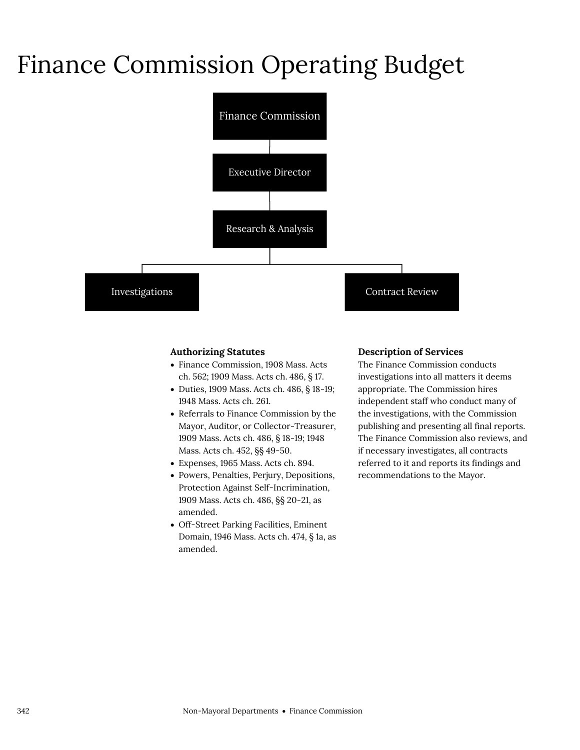# Finance Commission Operating Budget



#### **Authorizing Statutes**

- Finance Commission, 1908 Mass. Acts ch. 562; 1909 Mass. Acts ch. 486, § 17.
- Duties, 1909 Mass. Acts ch. 486, § 18-19; 1948 Mass. Acts ch. 261.
- Referrals to Finance Commission by the Mayor, Auditor, or Collector-Treasurer, 1909 Mass. Acts ch. 486, § 18-19; 1948 Mass. Acts ch. 452, §§ 49-50.
- Expenses, 1965 Mass. Acts ch. 894.
- Powers, Penalties, Perjury, Depositions, Protection Against Self-Incrimination, 1909 Mass. Acts ch. 486, §§ 20-21, as amended.
- Off-Street Parking Facilities, Eminent Domain, 1946 Mass. Acts ch. 474, § 1a, as amended.

#### **Description of Services**

The Finance Commission conducts investigations into all matters it deems appropriate. The Commission hires independent staff who conduct many of the investigations, with the Commission publishing and presenting all final reports. The Finance Commission also reviews, and if necessary investigates, all contracts referred to it and reports its findings and recommendations to the Mayor.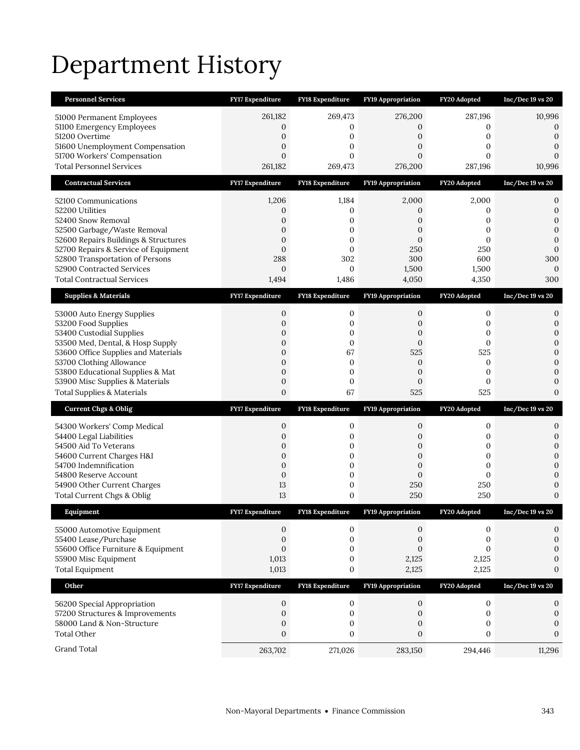# Department History

| <b>Personnel Services</b>                                           | <b>FY17 Expenditure</b>          | <b>FY18 Expenditure</b>              | <b>FY19 Appropriation</b> | FY20 Adopted                 | $Inc/Dec$ 19 vs 20               |
|---------------------------------------------------------------------|----------------------------------|--------------------------------------|---------------------------|------------------------------|----------------------------------|
| 51000 Permanent Employees                                           | 261,182                          | 269,473                              | 276,200                   | 287,196                      | 10,996                           |
| 51100 Emergency Employees                                           | 0                                | 0                                    | 0                         | 0                            | 0                                |
| 51200 Overtime<br>51600 Unemployment Compensation                   | 0<br>0                           | 0<br>0                               | 0<br>0                    | 0<br>0                       | $\boldsymbol{0}$<br>$\mathbf{0}$ |
| 51700 Workers' Compensation                                         | $\mathbf{0}$                     | $\overline{0}$                       | $\overline{0}$            | $\mathbf{0}$                 | $\mathbf{0}$                     |
| <b>Total Personnel Services</b>                                     | 261,182                          | 269,473                              | 276,200                   | 287,196                      | 10,996                           |
| <b>Contractual Services</b>                                         | <b>FY17 Expenditure</b>          | <b>FY18 Expenditure</b>              | <b>FY19 Appropriation</b> | FY20 Adopted                 | $Inc/Dec 19$ vs $20$             |
| 52100 Communications                                                | 1,206                            | 1,184                                | 2,000                     | 2,000                        | 0                                |
| 52200 Utilities                                                     | 0                                | 0                                    | 0                         | 0                            | $\boldsymbol{0}$                 |
| 52400 Snow Removal                                                  | 0                                | 0                                    | 0                         | 0                            | $\mathbf{0}$                     |
| 52500 Garbage/Waste Removal<br>52600 Repairs Buildings & Structures | $\overline{0}$<br>$\overline{0}$ | 0<br>0                               | 0<br>$\overline{0}$       | $\mathbf{0}$<br>$\mathbf{0}$ | $\mathbf{0}$<br>$\mathbf{0}$     |
| 52700 Repairs & Service of Equipment                                | $\mathbf{0}$                     | $\mathbf{0}$                         | 250                       | 250                          | $\overline{0}$                   |
| 52800 Transportation of Persons                                     | 288                              | 302                                  | 300                       | 600                          | 300                              |
| 52900 Contracted Services                                           | $\mathbf{0}$                     | 0                                    | 1,500                     | 1,500                        | $\mathbf{0}$                     |
| <b>Total Contractual Services</b>                                   | 1,494                            | 1,486                                | 4,050                     | 4,350                        | 300                              |
| <b>Supplies &amp; Materials</b>                                     | <b>FY17 Expenditure</b>          | <b>FY18 Expenditure</b>              | <b>FY19 Appropriation</b> | FY20 Adopted                 | $Inc/Dec 19$ vs $20$             |
| 53000 Auto Energy Supplies                                          | 0                                | 0                                    | 0                         | 0                            | 0                                |
| 53200 Food Supplies                                                 | 0                                | 0                                    | 0                         | 0                            | $\boldsymbol{0}$                 |
| 53400 Custodial Supplies<br>53500 Med, Dental, & Hosp Supply        | $\overline{0}$<br>$\mathbf{0}$   | 0<br>0                               | 0<br>$\mathbf{0}$         | $\mathbf{0}$<br>$\mathbf{0}$ | $\mathbf{0}$<br>$\boldsymbol{0}$ |
| 53600 Office Supplies and Materials                                 | $\boldsymbol{0}$                 | 67                                   | 525                       | 525                          | $\overline{0}$                   |
| 53700 Clothing Allowance                                            | 0                                | $\boldsymbol{0}$                     | 0                         | 0                            | $\mathbf{0}$                     |
| 53800 Educational Supplies & Mat                                    | 0                                | 0                                    | $\mathbf{0}$              | 0                            | $\mathbf{0}$                     |
| 53900 Misc Supplies & Materials                                     | 0                                | 0                                    | 0                         | 0                            | $\mathbf{0}$                     |
| <b>Total Supplies &amp; Materials</b>                               | $\boldsymbol{0}$                 | 67                                   | 525                       | 525                          | $\mathbf{0}$                     |
| <b>Current Chgs &amp; Oblig</b>                                     | <b>FY17 Expenditure</b>          | <b>FY18 Expenditure</b>              | <b>FY19 Appropriation</b> | FY20 Adopted                 | $Inc/Dec 19$ vs $20$             |
| 54300 Workers' Comp Medical                                         | 0                                | 0                                    | 0                         | 0                            | 0                                |
| 54400 Legal Liabilities                                             | 0                                | 0                                    | 0                         | 0                            | $\boldsymbol{0}$                 |
| 54500 Aid To Veterans                                               | 0<br>$\mathbf{0}$                | $\boldsymbol{0}$<br>0                | 0<br>0                    | $\mathbf{0}$<br>0            | $\boldsymbol{0}$<br>$\mathbf{0}$ |
| 54600 Current Charges H&I<br>54700 Indemnification                  | 0                                | $\boldsymbol{0}$                     | 0                         | 0                            | $\mathbf{0}$                     |
| 54800 Reserve Account                                               | $\boldsymbol{0}$                 | $\boldsymbol{0}$                     | $\overline{0}$            | $\mathbf{0}$                 | $\overline{0}$                   |
| 54900 Other Current Charges                                         | 13                               | 0                                    | 250                       | 250                          | $\mathbf{0}$                     |
| Total Current Chgs & Oblig                                          | 13                               | 0                                    | 250                       | 250                          | $\mathbf{0}$                     |
| Equipment                                                           | <b>FY17 Expenditure</b>          | <b>FY18 Expenditure</b>              | FY19 Appropriation        | FY20 Adopted                 | $Inc/Dec 19$ vs $20$             |
| 55000 Automotive Equipment                                          | 0                                | 0                                    | 0                         | 0                            | 0                                |
| 55400 Lease/Purchase                                                | $\boldsymbol{0}$                 | $\boldsymbol{0}$                     | $\boldsymbol{0}$          | $\boldsymbol{0}$             | $\boldsymbol{0}$                 |
| 55600 Office Furniture & Equipment                                  | $\boldsymbol{0}$                 | $\boldsymbol{0}$<br>$\boldsymbol{0}$ | $\boldsymbol{0}$          | $\mathbf{0}$                 | $\mathbf{0}$                     |
| 55900 Misc Equipment<br><b>Total Equipment</b>                      | 1,013<br>1,013                   | 0                                    | 2,125<br>2,125            | 2,125<br>2,125               | $\boldsymbol{0}$<br>$\mathbf{0}$ |
|                                                                     |                                  |                                      |                           |                              |                                  |
| Other                                                               | FY17 Expenditure                 | FY18 Expenditure                     | <b>FY19 Appropriation</b> | FY20 Adopted                 | $Inc/Dec 19$ vs $20$             |
| 56200 Special Appropriation                                         | 0                                | 0                                    | $\mathbf{0}$              | $\boldsymbol{0}$             | 0                                |
| 57200 Structures & Improvements<br>58000 Land & Non-Structure       | 0<br>0                           | $\boldsymbol{0}$<br>0                | $\boldsymbol{0}$<br>0     | $\boldsymbol{0}$<br>0        | $\boldsymbol{0}$<br>$\mathbf{0}$ |
| <b>Total Other</b>                                                  | $\boldsymbol{0}$                 | 0                                    | $\boldsymbol{0}$          | $\boldsymbol{0}$             | $\boldsymbol{0}$                 |
| Grand Total                                                         | 263,702                          | 271,026                              | 283,150                   | 294,446                      | 11,296                           |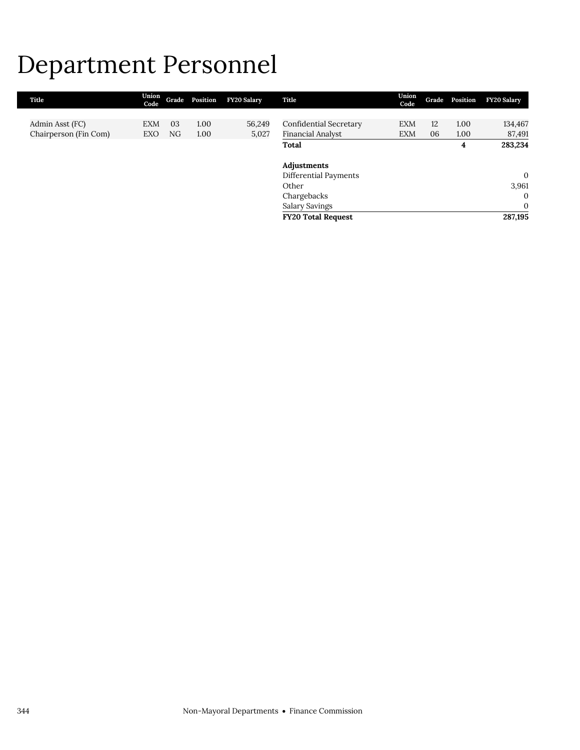# Department Personnel

| Title                 | Union<br>Code |    | Grade Position | <b>FY20 Salary</b> | Title                        | Union<br>Code | Grade | Position | <b>FY20 Salary</b> |
|-----------------------|---------------|----|----------------|--------------------|------------------------------|---------------|-------|----------|--------------------|
|                       |               |    |                |                    |                              |               |       |          |                    |
| Admin Asst (FC)       | <b>EXM</b>    | 03 | 1.00           | 56,249             | Confidential Secretary       | EXM           | 12    | 1.00     | 134,467            |
| Chairperson (Fin Com) | EXO           | NG | 1.00           | 5,027              | Financial Analyst            | <b>EXM</b>    | 06    | 1.00     | 87,491             |
|                       |               |    |                |                    | Total                        |               |       | 4        | 283,234            |
|                       |               |    |                |                    |                              |               |       |          |                    |
|                       |               |    |                |                    | Adjustments                  |               |       |          |                    |
|                       |               |    |                |                    | <b>Differential Payments</b> |               |       |          | $\theta$           |
|                       |               |    |                |                    | Other                        |               |       |          | 3,961              |
|                       |               |    |                |                    | Chargebacks                  |               |       |          | $\Omega$           |
|                       |               |    |                |                    | <b>Salary Savings</b>        |               |       |          | $\mathbf{0}$       |
|                       |               |    |                |                    | <b>FY20 Total Request</b>    |               |       |          | 287,195            |